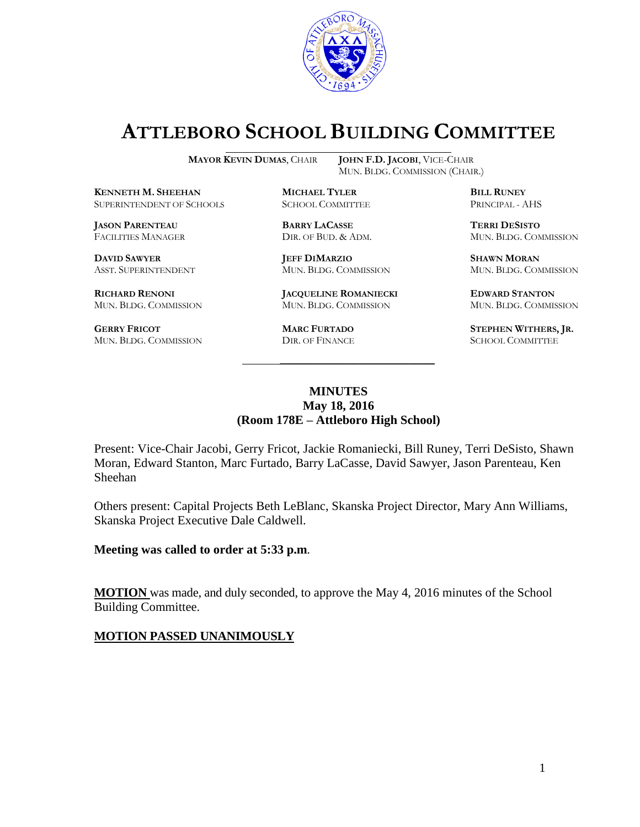

# **ATTLEBORO SCHOOL BUILDING COMMITTEE**

MUN. BLDG. COMMISSION (CHAIR.)

**MAYOR KEVIN DUMAS**, CHAIR **JOHN F.D. JACOBI**, VICE-CHAIR

**KENNETH M. SHEEHAN MICHAEL TYLER BILL RUNEY** SUPERINTENDENT OF SCHOOLS SCHOOL COMMITTEE PRINCIPAL - AHS

**JASON PARENTEAU BARRY LACASSE TERRI DESISTO**

**RICHARD RENONI JACQUELINE ROMANIECKI EDWARD STANTON**

**GERRY FRICOT MARC FURTADO STEPHEN WITHERS, JR.** MUN. BLDG. COMMISSION

**DAVID SAWYER JEFF DIMARZIO SHAWN MORAN**

MUN. BLDG. COMMISSION MUN. BLDG. COMMISSION MUN. BLDG. COMMISSION

FACILITIES MANAGER DIR. OF BUD. & ADM. MUN. BLDG. COMMISSION

ASST. SUPERINTENDENT MUN. BLDG. COMMISSION MUN. BLDG. COMMISSION

#### **MINUTES May 18, 2016 (Room 178E – Attleboro High School)**

\_\_\_\_\_\_\_\_\_\_\_\_\_\_\_\_\_\_\_\_\_\_\_\_\_\_\_\_\_\_\_\_\_\_\_\_\_

Present: Vice-Chair Jacobi, Gerry Fricot, Jackie Romaniecki, Bill Runey, Terri DeSisto, Shawn Moran, Edward Stanton, Marc Furtado, Barry LaCasse, David Sawyer, Jason Parenteau, Ken Sheehan

Others present: Capital Projects Beth LeBlanc, Skanska Project Director, Mary Ann Williams, Skanska Project Executive Dale Caldwell.

**Meeting was called to order at 5:33 p.m**.

**MOTION** was made, and duly seconded, to approve the May 4, 2016 minutes of the School Building Committee.

#### **MOTION PASSED UNANIMOUSLY**